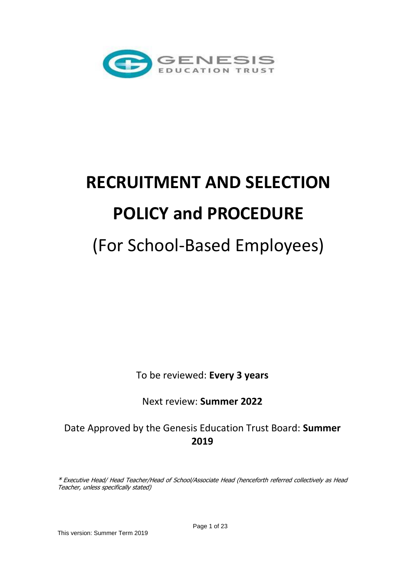

# **RECRUITMENT AND SELECTION POLICY and PROCEDURE** (For School-Based Employees)

To be reviewed: **Every 3 years**

Next review: **Summer 2022**

Date Approved by the Genesis Education Trust Board: **Summer 2019**

\* Executive Head/ Head Teacher/Head of School/Associate Head (henceforth referred collectively as Head Teacher, unless specifically stated)

This version: Summer Term 2019

Page 1 of 23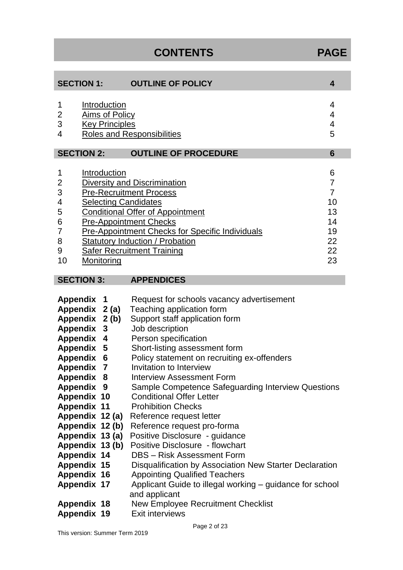# **CONTENTS PAGE**

| <b>SECTION 1:</b>                                                                                                                                                                                                                                                                                                                                                                                                                                                                                                                                                                                                                                                                                                                                                                                                                                                                                                        | <b>OUTLINE OF POLICY</b>                                                                                                                                    | 4              |
|--------------------------------------------------------------------------------------------------------------------------------------------------------------------------------------------------------------------------------------------------------------------------------------------------------------------------------------------------------------------------------------------------------------------------------------------------------------------------------------------------------------------------------------------------------------------------------------------------------------------------------------------------------------------------------------------------------------------------------------------------------------------------------------------------------------------------------------------------------------------------------------------------------------------------|-------------------------------------------------------------------------------------------------------------------------------------------------------------|----------------|
| Introduction<br>1<br>4<br><b>Aims of Policy</b><br>2<br>4<br>3<br><b>Key Principles</b><br>4<br>5<br><b>Roles and Responsibilities</b><br>4                                                                                                                                                                                                                                                                                                                                                                                                                                                                                                                                                                                                                                                                                                                                                                              |                                                                                                                                                             |                |
| <b>SECTION 2:</b>                                                                                                                                                                                                                                                                                                                                                                                                                                                                                                                                                                                                                                                                                                                                                                                                                                                                                                        | <b>OUTLINE OF PROCEDURE</b>                                                                                                                                 | $6\phantom{1}$ |
| 1<br>Introduction<br>6<br>$\overline{7}$<br>2<br><b>Diversity and Discrimination</b><br>3<br>$\overline{7}$<br><b>Pre-Recruitment Process</b><br>10<br><b>Selecting Candidates</b><br>4<br><b>Conditional Offer of Appointment</b><br>13<br>5<br><b>Pre-Appointment Checks</b><br>6<br>14<br><b>Pre-Appointment Checks for Specific Individuals</b><br>19<br>7<br>8<br><b>Statutory Induction / Probation</b><br>22<br>22<br>9<br><b>Safer Recruitment Training</b><br>10<br>23<br>Monitoring                                                                                                                                                                                                                                                                                                                                                                                                                            |                                                                                                                                                             |                |
| <b>SECTION 3:</b>                                                                                                                                                                                                                                                                                                                                                                                                                                                                                                                                                                                                                                                                                                                                                                                                                                                                                                        | <b>APPENDICES</b>                                                                                                                                           |                |
| <b>Appendix</b><br>Request for schools vacancy advertisement<br>1<br>Teaching application form<br>Appendix 2 (a)<br>Support staff application form<br>Appendix<br>2(b)<br>Job description<br>Appendix<br>3<br>Person specification<br>Appendix 4<br>Appendix 5<br>Short-listing assessment form<br>Policy statement on recruiting ex-offenders<br>Appendix<br>6<br>Invitation to Interview<br><b>Appendix 7</b><br>Appendix 8<br>Interview Assessment Form<br>Appendix 9<br>Sample Competence Safeguarding Interview Questions<br><b>Conditional Offer Letter</b><br><b>Appendix 10</b><br><b>Prohibition Checks</b><br><b>Appendix 11</b><br>Appendix 12 (a)<br>Reference request letter<br>Appendix 12 (b)<br>Reference request pro-forma<br>Appendix 13 (a)<br>Positive Disclosure - guidance<br><b>Positive Disclosure - flowchart</b><br>Appendix 13 (b)<br><b>DBS</b> - Risk Assessment Form<br><b>Appendix 14</b> |                                                                                                                                                             |                |
| <b>Appendix 15</b><br>Appendix 16<br><b>Appendix 17</b>                                                                                                                                                                                                                                                                                                                                                                                                                                                                                                                                                                                                                                                                                                                                                                                                                                                                  | Disqualification by Association New Starter Declaration<br><b>Appointing Qualified Teachers</b><br>Applicant Guide to illegal working – guidance for school |                |

**Appendix 19** Exit interviews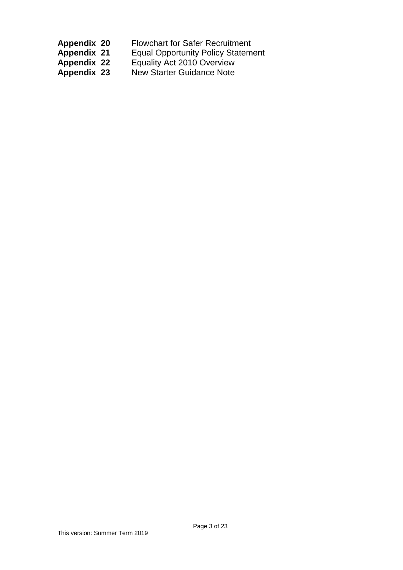| <b>Appendix 20</b> | <b>Flowchart for Safer Recruitment</b>    |
|--------------------|-------------------------------------------|
| <b>Appendix 21</b> | <b>Equal Opportunity Policy Statement</b> |

**Appendix 22** Equality Act 2010 Overview

**Appendix 23** New Starter Guidance Note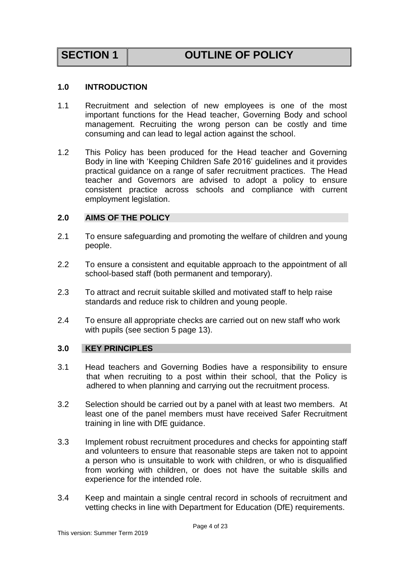# **SECTION 1 OUTLINE OF POLICY**

### <span id="page-3-0"></span>**1.0 INTRODUCTION**

- 1.1 Recruitment and selection of new employees is one of the most important functions for the Head teacher, Governing Body and school management. Recruiting the wrong person can be costly and time consuming and can lead to legal action against the school.
- 1.2 This Policy has been produced for the Head teacher and Governing Body in line with 'Keeping Children Safe 2016' guidelines and it provides practical guidance on a range of safer recruitment practices. The Head teacher and Governors are advised to adopt a policy to ensure consistent practice across schools and compliance with current employment legislation.

### <span id="page-3-1"></span>**2.0 AIMS OF THE POLICY**

- 2.1 To ensure safeguarding and promoting the welfare of children and young people.
- 2.2 To ensure a consistent and equitable approach to the appointment of all school-based staff (both permanent and temporary).
- 2.3 To attract and recruit suitable skilled and motivated staff to help raise standards and reduce risk to children and young people.
- 2.4 To ensure all appropriate checks are carried out on new staff who work with pupils (see section 5 page 13).

### <span id="page-3-2"></span>**3.0 KEY PRINCIPLES**

- 3.1 Head teachers and Governing Bodies have a responsibility to ensure that when recruiting to a post within their school, that the Policy is adhered to when planning and carrying out the recruitment process.
- 3.2 Selection should be carried out by a panel with at least two members. At least one of the panel members must have received Safer Recruitment training in line with DfE guidance.
- 3.3 Implement robust recruitment procedures and checks for appointing staff and volunteers to ensure that reasonable steps are taken not to appoint a person who is unsuitable to work with children, or who is disqualified from working with children, or does not have the suitable skills and experience for the intended role.
- 3.4 Keep and maintain a single central record in schools of recruitment and vetting checks in line with Department for Education (DfE) requirements.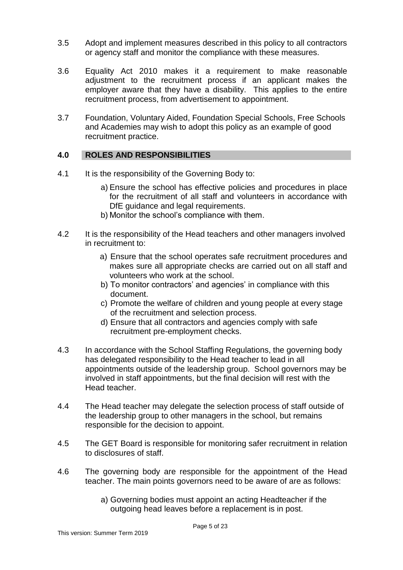- 3.5 Adopt and implement measures described in this policy to all contractors or agency staff and monitor the compliance with these measures.
- 3.6 Equality Act 2010 makes it a requirement to make reasonable adjustment to the recruitment process if an applicant makes the employer aware that they have a disability. This applies to the entire recruitment process, from advertisement to appointment.
- 3.7 Foundation, Voluntary Aided, Foundation Special Schools, Free Schools and Academies may wish to adopt this policy as an example of good recruitment practice.

### <span id="page-4-0"></span>**4.0 ROLES AND RESPONSIBILITIES**

- 4.1 It is the responsibility of the Governing Body to:
	- a) Ensure the school has effective policies and procedures in place for the recruitment of all staff and volunteers in accordance with DfE guidance and legal requirements.
	- b) Monitor the school's compliance with them.
- 4.2 It is the responsibility of the Head teachers and other managers involved in recruitment to:
	- a) Ensure that the school operates safe recruitment procedures and makes sure all appropriate checks are carried out on all staff and volunteers who work at the school.
	- b) To monitor contractors' and agencies' in compliance with this document.
	- c) Promote the welfare of children and young people at every stage of the recruitment and selection process.
	- d) Ensure that all contractors and agencies comply with safe recruitment pre-employment checks.
- 4.3 In accordance with the School Staffing Regulations, the governing body has delegated responsibility to the Head teacher to lead in all appointments outside of the leadership group. School governors may be involved in staff appointments, but the final decision will rest with the Head teacher.
- 4.4 The Head teacher may delegate the selection process of staff outside of the leadership group to other managers in the school, but remains responsible for the decision to appoint.
- 4.5 The GET Board is responsible for monitoring safer recruitment in relation to disclosures of staff.
- 4.6 The governing body are responsible for the appointment of the Head teacher. The main points governors need to be aware of are as follows:
	- a) Governing bodies must appoint an acting Headteacher if the outgoing head leaves before a replacement is in post.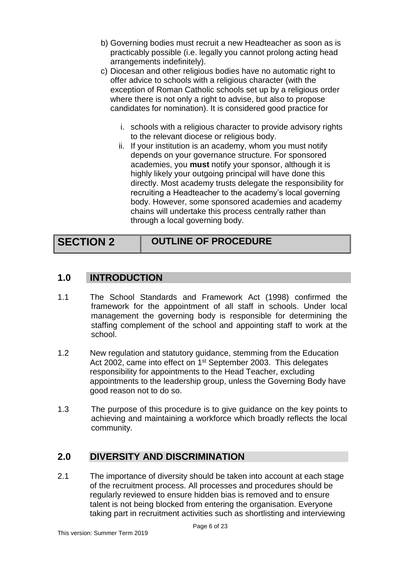- b) Governing bodies must recruit a new Headteacher as soon as is practicably possible (i.e. legally you cannot prolong acting head arrangements indefinitely).
- c) Diocesan and other religious bodies have no automatic right to offer advice to schools with a religious character (with the exception of Roman Catholic schools set up by a religious order where there is not only a right to advise, but also to propose candidates for nomination). It is considered good practice for
	- i. schools with a religious character to provide advisory rights to the relevant diocese or religious body.
	- ii. If your institution is an academy, whom you must notify depends on your governance structure. For sponsored academies, you **must** notify your sponsor, although it is highly likely your outgoing principal will have done this directly. Most academy trusts delegate the responsibility for recruiting a Headteacher to the academy's local governing body. However, some sponsored academies and academy chains will undertake this process centrally rather than through a local governing body.

# **SECTION 2 OUTLINE OF PROCEDURE**

# <span id="page-5-0"></span>**1.0 INTRODUCTION**

- 1.1 The School Standards and Framework Act (1998) confirmed the framework for the appointment of all staff in schools. Under local management the governing body is responsible for determining the staffing complement of the school and appointing staff to work at the school.
- 1.2 New regulation and statutory guidance, stemming from the Education Act 2002, came into effect on 1<sup>st</sup> September 2003. This delegates responsibility for appointments to the Head Teacher, excluding appointments to the leadership group, unless the Governing Body have good reason not to do so.
- 1.3 The purpose of this procedure is to give guidance on the key points to achieving and maintaining a workforce which broadly reflects the local community.

# <span id="page-5-1"></span>**2.0 DIVERSITY AND DISCRIMINATION**

2.1 The importance of diversity should be taken into account at each stage of the recruitment process. All processes and procedures should be regularly reviewed to ensure hidden bias is removed and to ensure talent is not being blocked from entering the organisation. Everyone taking part in recruitment activities such as shortlisting and interviewing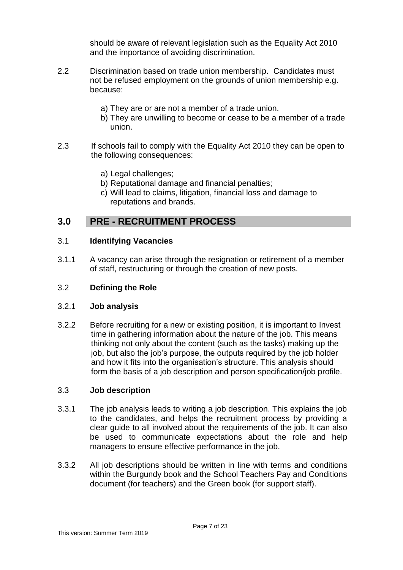should be aware of relevant legislation such as the Equality Act 2010 and the importance of avoiding discrimination.

- 2.2 Discrimination based on trade union membership. Candidates must not be refused employment on the grounds of union membership e.g. because:
	- a) They are or are not a member of a trade union.
	- b) They are unwilling to become or cease to be a member of a trade union.
- 2.3 If schools fail to comply with the Equality Act 2010 they can be open to the following consequences:
	- a) Legal challenges;
	- b) Reputational damage and financial penalties;
	- c) Will lead to claims, litigation, financial loss and damage to reputations and brands.

# <span id="page-6-0"></span>**3.0 PRE - RECRUITMENT PROCESS**

### 3.1 **Identifying Vacancies**

3.1.1 A vacancy can arise through the resignation or retirement of a member of staff, restructuring or through the creation of new posts.

### 3.2 **Defining the Role**

#### 3.2.1 **Job analysis**

3.2.2 Before recruiting for a new or existing position, it is important to Invest time in gathering information about the nature of the job. This means thinking not only about the content (such as the tasks) making up the job, but also the job's purpose, the outputs required by the job holder and how it fits into the organisation's structure. This analysis should form the basis of a job description and person specification/job profile.

#### 3.3 **Job description**

- 3.3.1 The job analysis leads to writing a job description. This explains the job to the candidates, and helps the recruitment process by providing a clear guide to all involved about the requirements of the job. It can also be used to communicate expectations about the role and help managers to ensure effective performance in the job.
- 3.3.2 All job descriptions should be written in line with terms and conditions within the Burgundy book and the School Teachers Pay and Conditions document (for teachers) and the Green book (for support staff).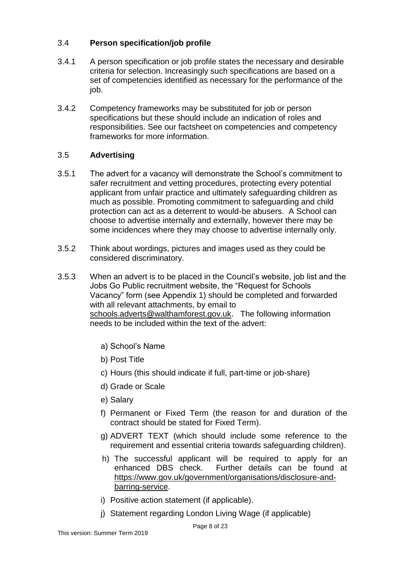#### 3.4 **Person specification/job profile**

- 3.4.1 A person specification or job profile states the necessary and desirable criteria for selection. Increasingly such specifications are based on a set of competencies identified as necessary for the performance of the job.
- 3.4.2 Competency frameworks may be substituted for job or person specifications but these should include an indication of roles and responsibilities. See our factsheet on competencies and competency frameworks for more information.

#### 3.5 **Advertising**

- 3.5.1 The advert for a vacancy will demonstrate the School's commitment to safer recruitment and vetting procedures, protecting every potential applicant from unfair practice and ultimately safeguarding children as much as possible. Promoting commitment to safeguarding and child protection can act as a deterrent to would-be abusers. A School can choose to advertise internally and externally, however there may be some incidences where they may choose to advertise internally only.
- 3.5.2 Think about wordings, pictures and images used as they could be considered discriminatory.
- 3.5.3 When an advert is to be placed in the Council's website, job list and the Jobs Go Public recruitment website, the "Request for Schools Vacancy" form (see Appendix 1) should be completed and forwarded with all relevant attachments, by email to [schools.adverts@walthamforest.gov.uk.](mailto:schools.adverts@walthamforest.gov.uk) The following information needs to be included within the text of the advert:
	- a) School's Name
	- b) Post Title
	- c) Hours (this should indicate if full, part-time or job-share)
	- d) Grade or Scale
	- e) Salary
	- f) Permanent or Fixed Term (the reason for and duration of the contract should be stated for Fixed Term).
	- g) ADVERT TEXT (which should include some reference to the requirement and essential criteria towards safeguarding children).
	- h) The successful applicant will be required to apply for an enhanced DBS check. Further details can be found at [https://www.gov.uk/government/organisations/disclosure-and](https://www.gov.uk/government/organisations/disclosure-and-barring-service)[barring-service.](https://www.gov.uk/government/organisations/disclosure-and-barring-service)
	- i) Positive action statement (if applicable).
	- j) Statement regarding London Living Wage (if applicable)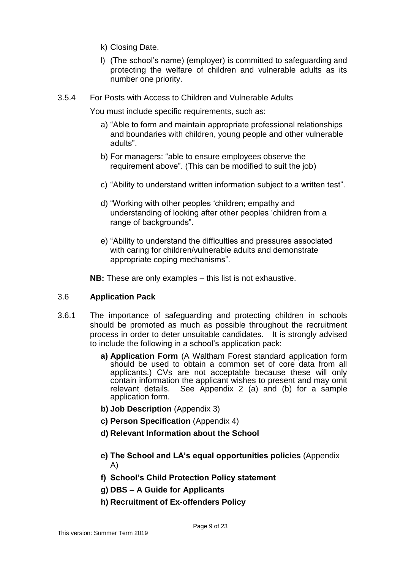- k) Closing Date.
- l) (The school's name) (employer) is committed to safeguarding and protecting the welfare of children and vulnerable adults as its number one priority.
- 3.5.4 For Posts with Access to Children and Vulnerable Adults

You must include specific requirements, such as:

- a) "Able to form and maintain appropriate professional relationships and boundaries with children, young people and other vulnerable adults".
- b) For managers: "able to ensure employees observe the requirement above". (This can be modified to suit the job)
- c) "Ability to understand written information subject to a written test".
- d) "Working with other peoples 'children; empathy and understanding of looking after other peoples 'children from a range of backgrounds".
- e) "Ability to understand the difficulties and pressures associated with caring for children/vulnerable adults and demonstrate appropriate coping mechanisms".

**NB:** These are only examples – this list is not exhaustive.

#### 3.6 **Application Pack**

- 3.6.1 The importance of safeguarding and protecting children in schools should be promoted as much as possible throughout the recruitment process in order to deter unsuitable candidates. It is strongly advised to include the following in a school's application pack:
	- **a) Application Form** (A Waltham Forest standard application form should be used to obtain a common set of core data from all applicants.) CVs are not acceptable because these will only contain information the applicant wishes to present and may omit relevant details. See Appendix 2 (a) and (b) for a sample See Appendix 2 (a) and (b) for a sample application form.
	- **b) Job Description** (Appendix 3)
	- **c) Person Specification** (Appendix 4)
	- **d) Relevant Information about the School**
	- **e) The School and LA's equal opportunities policies** (Appendix A)
	- **f) School's Child Protection Policy statement**
	- **g) DBS – A Guide for Applicants**
	- **h) Recruitment of Ex-offenders Policy**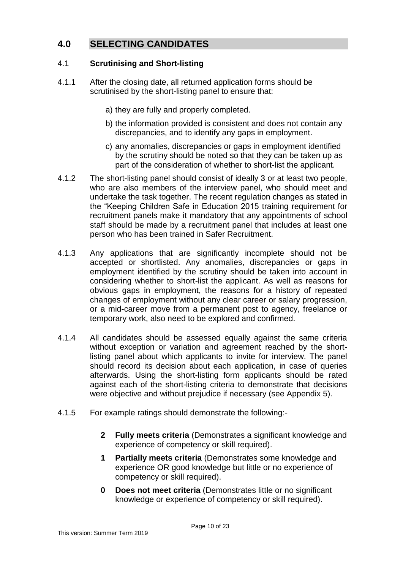# <span id="page-9-0"></span>**4.0 SELECTING CANDIDATES**

#### 4.1 **Scrutinising and Short-listing**

- 4.1.1 After the closing date, all returned application forms should be scrutinised by the short-listing panel to ensure that:
	- a) they are fully and properly completed.
	- b) the information provided is consistent and does not contain any discrepancies, and to identify any gaps in employment.
	- c) any anomalies, discrepancies or gaps in employment identified by the scrutiny should be noted so that they can be taken up as part of the consideration of whether to short-list the applicant.
- 4.1.2 The short-listing panel should consist of ideally 3 or at least two people, who are also members of the interview panel, who should meet and undertake the task together. The recent regulation changes as stated in the "Keeping Children Safe in Education 2015 training requirement for recruitment panels make it mandatory that any appointments of school staff should be made by a recruitment panel that includes at least one person who has been trained in Safer Recruitment.
- 4.1.3 Any applications that are significantly incomplete should not be accepted or shortlisted. Any anomalies, discrepancies or gaps in employment identified by the scrutiny should be taken into account in considering whether to short-list the applicant. As well as reasons for obvious gaps in employment, the reasons for a history of repeated changes of employment without any clear career or salary progression, or a mid-career move from a permanent post to agency, freelance or temporary work, also need to be explored and confirmed.
- 4.1.4 All candidates should be assessed equally against the same criteria without exception or variation and agreement reached by the shortlisting panel about which applicants to invite for interview. The panel should record its decision about each application, in case of queries afterwards. Using the short-listing form applicants should be rated against each of the short-listing criteria to demonstrate that decisions were objective and without prejudice if necessary (see Appendix 5).
- 4.1.5 For example ratings should demonstrate the following:-
	- **2 Fully meets criteria** (Demonstrates a significant knowledge and experience of competency or skill required).
	- **1 Partially meets criteria** (Demonstrates some knowledge and experience OR good knowledge but little or no experience of competency or skill required).
	- **0 Does not meet criteria** (Demonstrates little or no significant knowledge or experience of competency or skill required).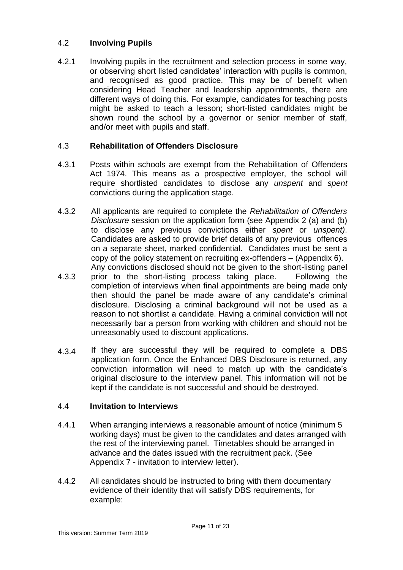#### 4.2 **Involving Pupils**

4.2.1 Involving pupils in the recruitment and selection process in some way, or observing short listed candidates' interaction with pupils is common, and recognised as good practice. This may be of benefit when considering Head Teacher and leadership appointments, there are different ways of doing this. For example, candidates for teaching posts might be asked to teach a lesson; short-listed candidates might be shown round the school by a governor or senior member of staff, and/or meet with pupils and staff.

#### 4.3 **Rehabilitation of Offenders Disclosure**

- 4.3.1 Posts within schools are exempt from the Rehabilitation of Offenders Act 1974. This means as a prospective employer, the school will require shortlisted candidates to disclose any *unspent* and *spent* convictions during the application stage.
- 4.3.2 All applicants are required to complete the *Rehabilitation of Offenders Disclosure* session on the application form (see Appendix 2 (a) and (b) to disclose any previous convictions either *spent* or *unspent)*. Candidates are asked to provide brief details of any previous offences on a separate sheet, marked confidential. Candidates must be sent a copy of the policy statement on recruiting ex-offenders – (Appendix 6). Any convictions disclosed should not be given to the short-listing panel
- 4.3.3 prior to the short-listing process taking place. Following the completion of interviews when final appointments are being made only then should the panel be made aware of any candidate's criminal disclosure. Disclosing a criminal background will not be used as a reason to not shortlist a candidate. Having a criminal conviction will not necessarily bar a person from working with children and should not be unreasonably used to discount applications.
- 4.3.4 If they are successful they will be required to complete a DBS application form. Once the Enhanced DBS Disclosure is returned, any conviction information will need to match up with the candidate's original disclosure to the interview panel. This information will not be kept if the candidate is not successful and should be destroyed.

# 4.4 **Invitation to Interviews**

- 4.4.1 When arranging interviews a reasonable amount of notice (minimum 5 working days) must be given to the candidates and dates arranged with the rest of the interviewing panel. Timetables should be arranged in advance and the dates issued with the recruitment pack. (See Appendix 7 - invitation to interview letter).
- 4.4.2 All candidates should be instructed to bring with them documentary evidence of their identity that will satisfy DBS requirements, for example: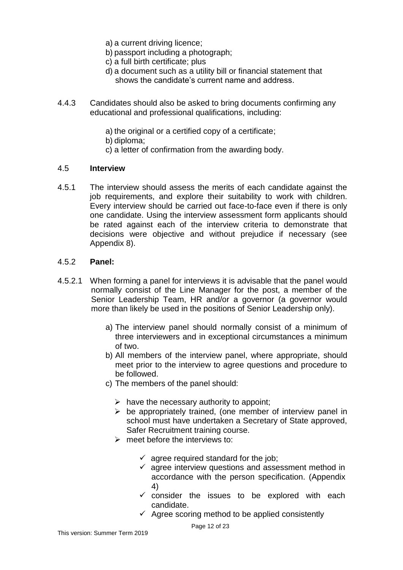- a) a current driving licence;
- b) passport including a photograph;
- c) a full birth certificate; plus
- d) a document such as a utility bill or financial statement that shows the candidate's current name and address.
- 4.4.3 Candidates should also be asked to bring documents confirming any educational and professional qualifications, including:
	- a) the original or a certified copy of a certificate;
	- b) diploma;
	- c) a letter of confirmation from the awarding body.

#### 4.5 **Interview**

4.5.1 The interview should assess the merits of each candidate against the job requirements, and explore their suitability to work with children. Every interview should be carried out face-to-face even if there is only one candidate. Using the interview assessment form applicants should be rated against each of the interview criteria to demonstrate that decisions were objective and without prejudice if necessary (see Appendix 8).

#### 4.5.2 **Panel:**

- 4.5.2.1 When forming a panel for interviews it is advisable that the panel would normally consist of the Line Manager for the post, a member of the Senior Leadership Team, HR and/or a governor (a governor would more than likely be used in the positions of Senior Leadership only).
	- a) The interview panel should normally consist of a minimum of three interviewers and in exceptional circumstances a minimum of two.
	- b) All members of the interview panel, where appropriate, should meet prior to the interview to agree questions and procedure to be followed.
	- c) The members of the panel should:
		- $\triangleright$  have the necessary authority to appoint;
		- $\triangleright$  be appropriately trained, (one member of interview panel in school must have undertaken a Secretary of State approved, Safer Recruitment training course.
		- $\triangleright$  meet before the interviews to:
			- $\checkmark$  agree required standard for the job:
			- $\checkmark$  agree interview questions and assessment method in accordance with the person specification. (Appendix 4)
			- $\checkmark$  consider the issues to be explored with each candidate.
			- $\checkmark$  Agree scoring method to be applied consistently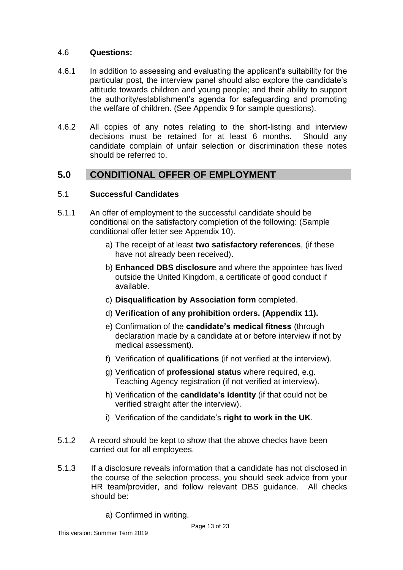#### 4.6 **Questions:**

- 4.6.1 In addition to assessing and evaluating the applicant's suitability for the particular post, the interview panel should also explore the candidate's attitude towards children and young people; and their ability to support the authority/establishment's agenda for safeguarding and promoting the welfare of children. (See Appendix 9 for sample questions).
- 4.6.2 All copies of any notes relating to the short-listing and interview decisions must be retained for at least 6 months. Should any candidate complain of unfair selection or discrimination these notes should be referred to.

# <span id="page-12-0"></span>**5.0 CONDITIONAL OFFER OF EMPLOYMENT**

#### 5.1 **Successful Candidates**

- 5.1.1 An offer of employment to the successful candidate should be conditional on the satisfactory completion of the following: (Sample conditional offer letter see Appendix 10).
	- a) The receipt of at least **two satisfactory references**, (if these have not already been received).
	- b) **Enhanced DBS disclosure** and where the appointee has lived outside the United Kingdom, a certificate of good conduct if available.
	- c) **Disqualification by Association form** completed.
	- d) **Verification of any prohibition orders. (Appendix 11).**
	- e) Confirmation of the **candidate's medical fitness** (through declaration made by a candidate at or before interview if not by medical assessment).
	- f) Verification of **qualifications** (if not verified at the interview).
	- g) Verification of **professional status** where required, e.g. Teaching Agency registration (if not verified at interview).
	- h) Verification of the **candidate's identity** (if that could not be verified straight after the interview).
	- i) Verification of the candidate's **right to work in the UK**.
- 5.1.2 A record should be kept to show that the above checks have been carried out for all employees.
- 5.1.3 If a disclosure reveals information that a candidate has not disclosed in the course of the selection process, you should seek advice from your HR team/provider, and follow relevant DBS guidance. All checks should be:
	- a) Confirmed in writing.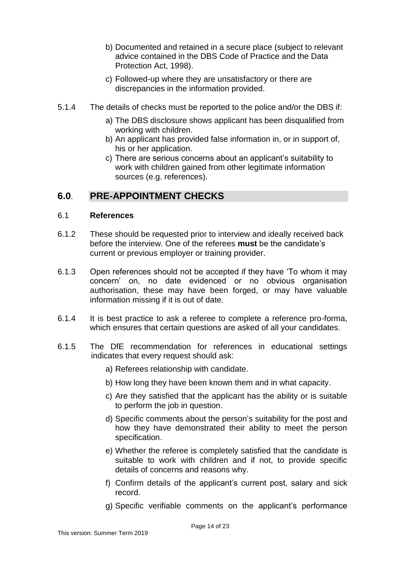- b) Documented and retained in a secure place (subject to relevant advice contained in the DBS Code of Practice and the Data Protection Act, 1998).
- c) Followed-up where they are unsatisfactory or there are discrepancies in the information provided.
- 5.1.4 The details of checks must be reported to the police and/or the DBS if:
	- a) The DBS disclosure shows applicant has been disqualified from working with children.
	- b) An applicant has provided false information in, or in support of, his or her application.
	- c) There are serious concerns about an applicant's suitability to work with children gained from other legitimate information sources (e.g. references).

# <span id="page-13-0"></span>**6.0**. **PRE-APPOINTMENT CHECKS**

### 6.1 **References**

- 6.1.2 These should be requested prior to interview and ideally received back before the interview. One of the referees **must** be the candidate's current or previous employer or training provider.
- 6.1.3 Open references should not be accepted if they have 'To whom it may concern' on, no date evidenced or no obvious organisation authorisation, these may have been forged, or may have valuable information missing if it is out of date.
- 6.1.4 It is best practice to ask a referee to complete a reference pro-forma, which ensures that certain questions are asked of all your candidates.
- 6.1.5 The DfE recommendation for references in educational settings indicates that every request should ask:
	- a) Referees relationship with candidate.
	- b) How long they have been known them and in what capacity.
	- c) Are they satisfied that the applicant has the ability or is suitable to perform the job in question.
	- d) Specific comments about the person's suitability for the post and how they have demonstrated their ability to meet the person specification.
	- e) Whether the referee is completely satisfied that the candidate is suitable to work with children and if not, to provide specific details of concerns and reasons why.
	- f) Confirm details of the applicant's current post, salary and sick record.
	- g) Specific verifiable comments on the applicant's performance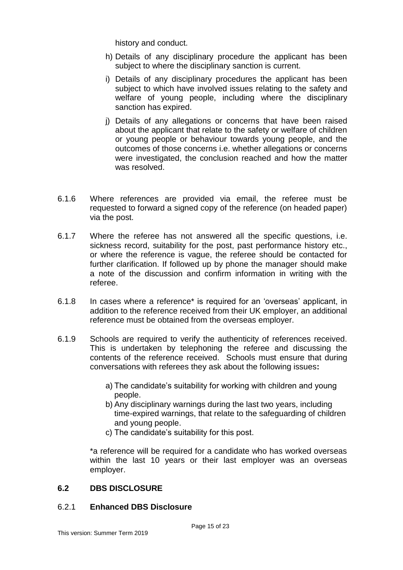history and conduct.

- h) Details of any disciplinary procedure the applicant has been subject to where the disciplinary sanction is current.
- i) Details of any disciplinary procedures the applicant has been subject to which have involved issues relating to the safety and welfare of young people, including where the disciplinary sanction has expired.
- j) Details of any allegations or concerns that have been raised about the applicant that relate to the safety or welfare of children or young people or behaviour towards young people, and the outcomes of those concerns i.e. whether allegations or concerns were investigated, the conclusion reached and how the matter was resolved.
- 6.1.6 Where references are provided via email, the referee must be requested to forward a signed copy of the reference (on headed paper) via the post.
- 6.1.7 Where the referee has not answered all the specific questions, i.e. sickness record, suitability for the post, past performance history etc., or where the reference is vague, the referee should be contacted for further clarification. If followed up by phone the manager should make a note of the discussion and confirm information in writing with the referee.
- 6.1.8 In cases where a reference\* is required for an 'overseas' applicant, in addition to the reference received from their UK employer, an additional reference must be obtained from the overseas employer.
- 6.1.9 Schools are required to verify the authenticity of references received. This is undertaken by telephoning the referee and discussing the contents of the reference received. Schools must ensure that during conversations with referees they ask about the following issues**:** 
	- a) The candidate's suitability for working with children and young people.
	- b) Any disciplinary warnings during the last two years, including time-expired warnings, that relate to the safeguarding of children and young people.
	- c) The candidate's suitability for this post.

\*a reference will be required for a candidate who has worked overseas within the last 10 years or their last employer was an overseas employer.

#### **6.2 DBS DISCLOSURE**

### 6.2.1 **Enhanced DBS Disclosure**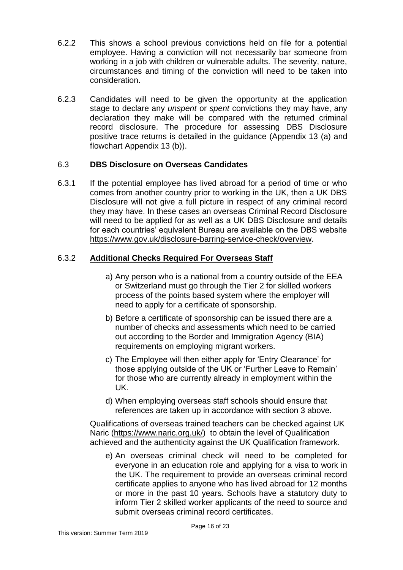- 6.2.2 This shows a school previous convictions held on file for a potential employee. Having a conviction will not necessarily bar someone from working in a job with children or vulnerable adults. The severity, nature, circumstances and timing of the conviction will need to be taken into consideration.
- 6.2.3 Candidates will need to be given the opportunity at the application stage to declare any *unspent* or *spent* convictions they may have, any declaration they make will be compared with the returned criminal record disclosure. The procedure for assessing DBS Disclosure positive trace returns is detailed in the guidance (Appendix 13 (a) and flowchart Appendix 13 (b)).

### 6.3 **DBS Disclosure on Overseas Candidates**

6.3.1 If the potential employee has lived abroad for a period of time or who comes from another country prior to working in the UK, then a UK DBS Disclosure will not give a full picture in respect of any criminal record they may have. In these cases an overseas Criminal Record Disclosure will need to be applied for as well as a UK DBS Disclosure and details for each countries' equivalent Bureau are available on the DBS website [https://www.gov.uk/disclosure-barring-service-check/overview.](https://www.gov.uk/disclosure-barring-service-check/overview)

### 6.3.2 **Additional Checks Required For Overseas Staff**

- a) Any person who is a national from a country outside of the EEA or Switzerland must go through the Tier 2 for skilled workers process of the points based system where the employer will need to apply for a certificate of sponsorship.
- b) Before a certificate of sponsorship can be issued there are a number of checks and assessments which need to be carried out according to the Border and Immigration Agency (BIA) requirements on employing migrant workers.
- c) The Employee will then either apply for 'Entry Clearance' for those applying outside of the UK or 'Further Leave to Remain' for those who are currently already in employment within the UK.
- d) When employing overseas staff schools should ensure that references are taken up in accordance with section 3 above.

Qualifications of overseas trained teachers can be checked against UK Naric [\(https://www.naric.org.uk/\)](https://www.naric.org.uk/) to obtain the level of Qualification achieved and the authenticity against the UK Qualification framework.

e) An overseas criminal check will need to be completed for everyone in an education role and applying for a visa to work in the UK. The requirement to provide an overseas criminal record certificate applies to anyone who has lived abroad for 12 months or more in the past 10 years. Schools have a statutory duty to inform Tier 2 skilled worker applicants of the need to source and submit overseas criminal record certificates.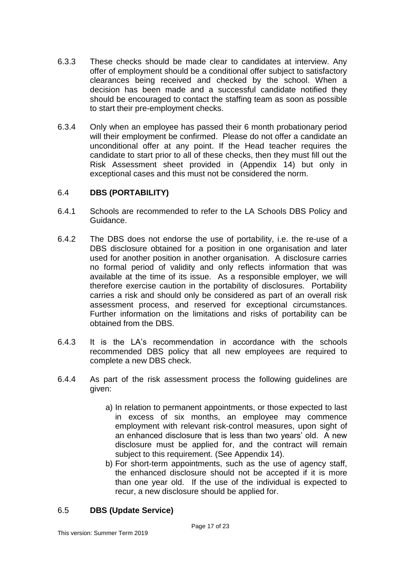- 6.3.3 These checks should be made clear to candidates at interview. Any offer of employment should be a conditional offer subject to satisfactory clearances being received and checked by the school. When a decision has been made and a successful candidate notified they should be encouraged to contact the staffing team as soon as possible to start their pre-employment checks.
- 6.3.4 Only when an employee has passed their 6 month probationary period will their employment be confirmed. Please do not offer a candidate an unconditional offer at any point. If the Head teacher requires the candidate to start prior to all of these checks, then they must fill out the Risk Assessment sheet provided in (Appendix 14) but only in exceptional cases and this must not be considered the norm.

#### 6.4 **DBS (PORTABILITY)**

- 6.4.1 Schools are recommended to refer to the LA Schools DBS Policy and Guidance.
- 6.4.2 The DBS does not endorse the use of portability, i.e. the re-use of a DBS disclosure obtained for a position in one organisation and later used for another position in another organisation. A disclosure carries no formal period of validity and only reflects information that was available at the time of its issue. As a responsible employer, we will therefore exercise caution in the portability of disclosures. Portability carries a risk and should only be considered as part of an overall risk assessment process, and reserved for exceptional circumstances. Further information on the limitations and risks of portability can be obtained from the DBS.
- 6.4.3 It is the LA's recommendation in accordance with the schools recommended DBS policy that all new employees are required to complete a new DBS check.
- 6.4.4 As part of the risk assessment process the following guidelines are given:
	- a) In relation to permanent appointments, or those expected to last in excess of six months, an employee may commence employment with relevant risk-control measures, upon sight of an enhanced disclosure that is less than two years' old. A new disclosure must be applied for, and the contract will remain subject to this requirement. (See Appendix 14).
	- b) For short-term appointments, such as the use of agency staff, the enhanced disclosure should not be accepted if it is more than one year old. If the use of the individual is expected to recur, a new disclosure should be applied for.

### 6.5 **DBS (Update Service)**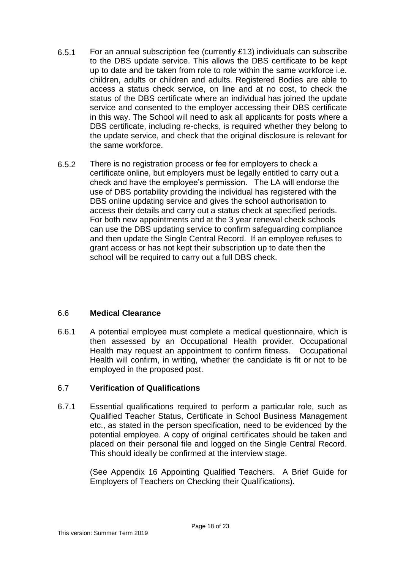- 6.5.1 For an annual subscription fee (currently £13) individuals can subscribe to the DBS update service. This allows the DBS certificate to be kept up to date and be taken from role to role within the same workforce i.e. children, adults or children and adults. Registered Bodies are able to access a status check service, on line and at no cost, to check the status of the DBS certificate where an individual has joined the update service and consented to the employer accessing their DBS certificate in this way. The School will need to ask all applicants for posts where a DBS certificate, including re-checks, is required whether they belong to the update service, and check that the original disclosure is relevant for the same workforce.
- 6.5.2 There is no registration process or fee for employers to check a certificate online, but employers must be legally entitled to carry out a check and have the employee's permission. The LA will endorse the use of DBS portability providing the individual has registered with the DBS online updating service and gives the school authorisation to access their details and carry out a status check at specified periods. For both new appointments and at the 3 year renewal check schools can use the DBS updating service to confirm safeguarding compliance and then update the Single Central Record. If an employee refuses to grant access or has not kept their subscription up to date then the school will be required to carry out a full DBS check.

#### 6.6 **Medical Clearance**

6.6.1 A potential employee must complete a medical questionnaire, which is then assessed by an Occupational Health provider. Occupational Health may request an appointment to confirm fitness. Occupational Health will confirm, in writing, whether the candidate is fit or not to be employed in the proposed post.

#### 6.7 **Verification of Qualifications**

6.7.1 Essential qualifications required to perform a particular role, such as Qualified Teacher Status, Certificate in School Business Management etc., as stated in the person specification, need to be evidenced by the potential employee. A copy of original certificates should be taken and placed on their personal file and logged on the Single Central Record. This should ideally be confirmed at the interview stage.

> (See Appendix 16 Appointing Qualified Teachers. A Brief Guide for Employers of Teachers on Checking their Qualifications).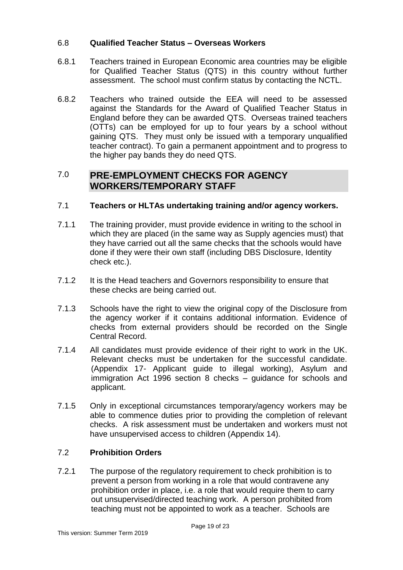#### 6.8 **Qualified Teacher Status – Overseas Workers**

- 6.8.1 Teachers trained in European Economic area countries may be eligible for Qualified Teacher Status (QTS) in this country without further assessment. The school must confirm status by contacting the NCTL.
- 6.8.2 Teachers who trained outside the EEA will need to be assessed against the Standards for the Award of Qualified Teacher Status in England before they can be awarded QTS. Overseas trained teachers (OTTs) can be employed for up to four years by a school without gaining QTS. They must only be issued with a temporary unqualified teacher contract). To gain a permanent appointment and to progress to the higher pay bands they do need QTS.

# <span id="page-18-0"></span>7.0 **PRE-EMPLOYMENT CHECKS FOR AGENCY WORKERS/TEMPORARY STAFF**

#### 7.1 **Teachers or HLTAs undertaking training and/or agency workers.**

- 7.1.1 The training provider, must provide evidence in writing to the school in which they are placed (in the same way as Supply agencies must) that they have carried out all the same checks that the schools would have done if they were their own staff (including DBS Disclosure, Identity check etc.).
- 7.1.2 It is the Head teachers and Governors responsibility to ensure that these checks are being carried out.
- 7.1.3 Schools have the right to view the original copy of the Disclosure from the agency worker if it contains additional information. Evidence of checks from external providers should be recorded on the Single Central Record.
- 7.1.4 All candidates must provide evidence of their right to work in the UK. Relevant checks must be undertaken for the successful candidate. (Appendix 17- Applicant guide to illegal working), Asylum and immigration Act 1996 section 8 checks – guidance for schools and applicant.
- 7.1.5 Only in exceptional circumstances temporary/agency workers may be able to commence duties prior to providing the completion of relevant checks. A risk assessment must be undertaken and workers must not have unsupervised access to children (Appendix 14).

#### 7.2 **Prohibition Orders**

7.2.1 The purpose of the regulatory requirement to check prohibition is to prevent a person from working in a role that would contravene any prohibition order in place, i.e. a role that would require them to carry out unsupervised/directed teaching work. A person prohibited from teaching must not be appointed to work as a teacher. Schools are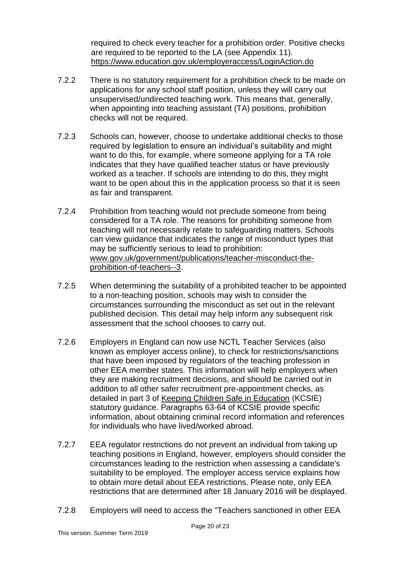required to check every teacher for a prohibition order. Positive checks are required to be reported to the LA (see Appendix 11). <https://www.education.gov.uk/employeraccess/LoginAction.do>

- 7.2.2 There is no statutory requirement for a prohibition check to be made on applications for any school staff position, unless they will carry out unsupervised/undirected teaching work. This means that, generally, when appointing into teaching assistant (TA) positions, prohibition checks will not be required.
- 7.2.3 Schools can, however, choose to undertake additional checks to those required by legislation to ensure an individual's suitability and might want to do this, for example, where someone applying for a TA role indicates that they have qualified teacher status or have previously worked as a teacher. If schools are intending to do this, they might want to be open about this in the application process so that it is seen as fair and transparent.
- 7.2.4 Prohibition from teaching would not preclude someone from being considered for a TA role. The reasons for prohibiting someone from teaching will not necessarily relate to safeguarding matters. Schools can view guidance that indicates the range of misconduct types that may be sufficiently serious to lead to prohibition: [www.gov.uk/government/publications/teacher-misconduct-the](http://www.gov.uk/government/publications/teacher-misconduct-the-prohibition-of-teachers--3)[prohibition-of-teachers--3.](http://www.gov.uk/government/publications/teacher-misconduct-the-prohibition-of-teachers--3)
- 7.2.5 When determining the suitability of a prohibited teacher to be appointed to a non-teaching position, schools may wish to consider the circumstances surrounding the misconduct as set out in the relevant published decision. This detail may help inform any subsequent risk assessment that the school chooses to carry out.
- 7.2.6 Employers in England can now use NCTL Teacher Services (also known as employer access online), to check for restrictions/sanctions that have been imposed by regulators of the teaching profession in other EEA member states. This information will help employers when they are making recruitment decisions, and should be carried out in addition to all other safer recruitment pre-appointment checks, as detailed in part 3 of [Keeping Children Safe in Education](https://www.gov.uk/government/publications/keeping-children-safe-in-education--2) (KCSIE) statutory guidance. Paragraphs 63-64 of KCSIE provide specific information, about obtaining criminal record information and references for individuals who have lived/worked abroad.
- 7.2.7 EEA regulator restrictions do not prevent an individual from taking up teaching positions in England, however, employers should consider the circumstances leading to the restriction when assessing a candidate's suitability to be employed. The employer access service explains how to obtain more detail about EEA restrictions. Please note, only EEA restrictions that are determined after 18 January 2016 will be displayed.
- 7.2.8 Employers will need to access the "Teachers sanctioned in other EEA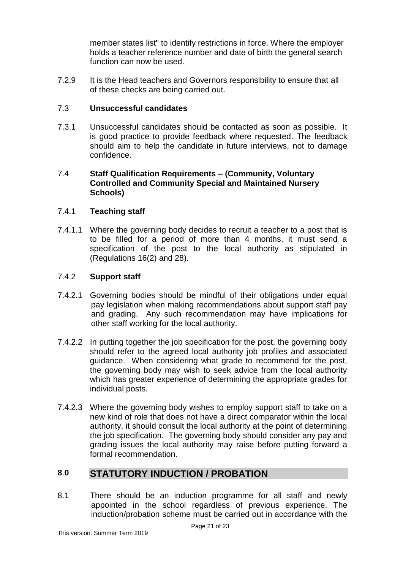member states list" to identify restrictions in force. Where the employer holds a teacher reference number and date of birth the general search function can now be used.

7.2.9 It is the Head teachers and Governors responsibility to ensure that all of these checks are being carried out.

## 7.3 **Unsuccessful candidates**

7.3.1 Unsuccessful candidates should be contacted as soon as possible. It is good practice to provide feedback where requested. The feedback should aim to help the candidate in future interviews, not to damage confidence.

#### 7.4 **Staff Qualification Requirements – (Community, Voluntary Controlled and Community Special and Maintained Nursery Schools)**

#### 7.4.1 **Teaching staff**

7.4.1.1 Where the governing body decides to recruit a teacher to a post that is to be filled for a period of more than 4 months, it must send a specification of the post to the local authority as stipulated in (Regulations 16(2) and 28).

#### 7.4.2 **Support staff**

- 7.4.2.1 Governing bodies should be mindful of their obligations under equal pay legislation when making recommendations about support staff pay and grading. Any such recommendation may have implications for other staff working for the local authority.
- 7.4.2.2 In putting together the job specification for the post, the governing body should refer to the agreed local authority job profiles and associated guidance. When considering what grade to recommend for the post, the governing body may wish to seek advice from the local authority which has greater experience of determining the appropriate grades for individual posts.
- 7.4.2.3 Where the governing body wishes to employ support staff to take on a new kind of role that does not have a direct comparator within the local authority, it should consult the local authority at the point of determining the job specification. The governing body should consider any pay and grading issues the local authority may raise before putting forward a formal recommendation.

# <span id="page-20-0"></span>**8**.**0 STATUTORY INDUCTION / PROBATION**

8.1 There should be an induction programme for all staff and newly appointed in the school regardless of previous experience. The induction/probation scheme must be carried out in accordance with the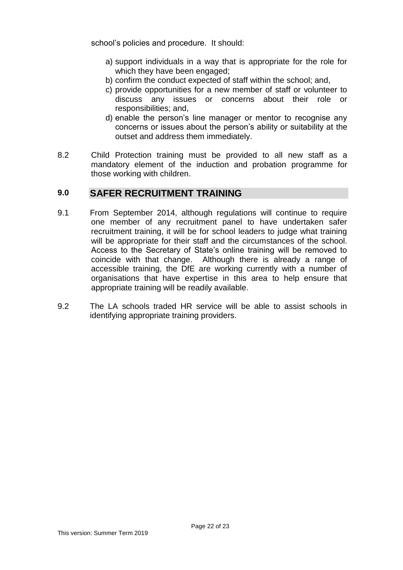school's policies and procedure. It should:

- a) support individuals in a way that is appropriate for the role for which they have been engaged;
- b) confirm the conduct expected of staff within the school; and,
- c) provide opportunities for a new member of staff or volunteer to discuss any issues or concerns about their role or responsibilities; and,
- d) enable the person's line manager or mentor to recognise any concerns or issues about the person's ability or suitability at the outset and address them immediately.
- 8.2 Child Protection training must be provided to all new staff as a mandatory element of the induction and probation programme for those working with children.

# <span id="page-21-0"></span>**9.0 SAFER RECRUITMENT TRAINING**

- 9.1 From September 2014, although regulations will continue to require one member of any recruitment panel to have undertaken safer recruitment training, it will be for school leaders to judge what training will be appropriate for their staff and the circumstances of the school. Access to the Secretary of State's online training will be removed to coincide with that change. Although there is already a range of accessible training, the DfE are working currently with a number of organisations that have expertise in this area to help ensure that appropriate training will be readily available.
- 9.2 The LA schools traded HR service will be able to assist schools in identifying appropriate training providers.